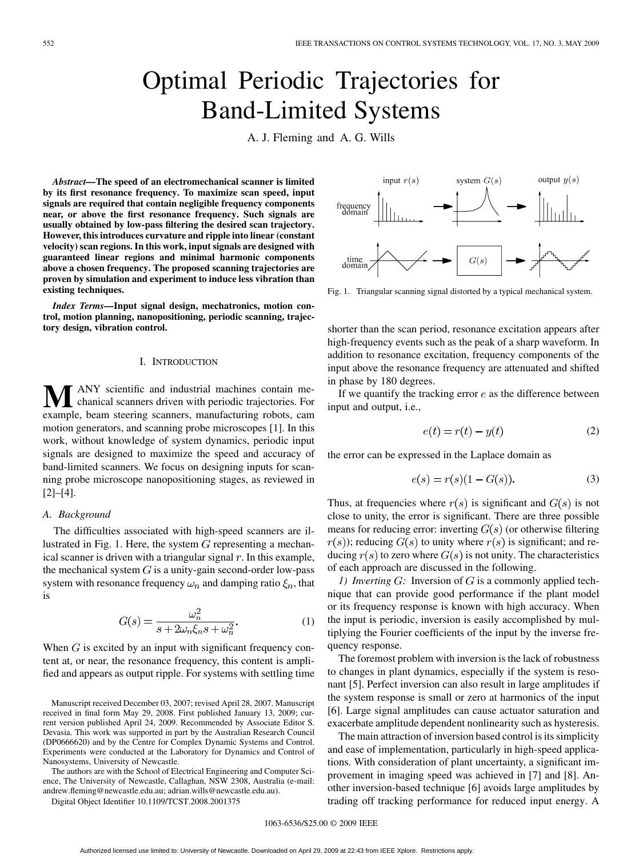# Optimal Periodic Trajectories for Band-Limited Systems

A. J. Fleming and A. G. Wills

*Abstract—***The speed of an electromechanical scanner is limited by its first resonance frequency. To maximize scan speed, input signals are required that contain negligible frequency components near, or above the first resonance frequency. Such signals are usually obtained by low-pass filtering the desired scan trajectory. However, this introduces curvature and ripple into linear (constant velocity) scan regions. In this work, input signals are designed with guaranteed linear regions and minimal harmonic components above a chosen frequency. The proposed scanning trajectories are proven by simulation and experiment to induce less vibration than existing techniques.**

*Index Terms—***Input signal design, mechatronics, motion control, motion planning, nanopositioning, periodic scanning, trajectory design, vibration control.**

#### I. INTRODUCTION

**M**ANY scientific and industrial machines contain me-<br>chanical scanners driven with periodic trajectories. For example, beam steering scanners, manufacturing robots, cam motion generators, and scanning probe microscopes [1]. In this work, without knowledge of system dynamics, periodic input signals are designed to maximize the speed and accuracy of band-limited scanners. We focus on designing inputs for scanning probe microscope nanopositioning stages, as reviewed in [2]–[4].

## *A. Background*

The difficulties associated with high-speed scanners are illustrated in Fig. 1. Here, the system  $G$  representing a mechanical scanner is driven with a triangular signal  $r$ . In this example, the mechanical system  $G$  is a unity-gain second-order low-pass system with resonance frequency  $\omega_n$  and damping ratio  $\xi_n$ , that is

$$
G(s) = \frac{\omega_n^2}{s + 2\omega_n \xi_n s + \omega_n^2}.
$$
 (1)

When  $G$  is excited by an input with significant frequency content at, or near, the resonance frequency, this content is amplified and appears as output ripple. For systems with settling time

Manuscript received December 03, 2007; revised April 28, 2007. Manuscript received in final form May 29, 2008. First published January 13, 2009; current version published April 24, 2009. Recommended by Associate Editor S. Devasia. This work was supported in part by the Australian Research Council (DP0666620) and by the Centre for Complex Dynamic Systems and Control. Experiments were conducted at the Laboratory for Dynamics and Control of Nanosystems, University of Newcastle.

The authors are with the School of Electrical Engineering and Computer Science, The University of Newcastle, Callaghan, NSW 2308, Australia (e-mail: andrew.fleming@newcastle.edu.au; adrian.wills@newcastle.edu.au).

Digital Object Identifier 10.1109/TCST.2008.2001375



Fig. 1. Triangular scanning signal distorted by a typical mechanical system.

shorter than the scan period, resonance excitation appears after high-frequency events such as the peak of a sharp waveform. In addition to resonance excitation, frequency components of the input above the resonance frequency are attenuated and shifted in phase by 180 degrees.

If we quantify the tracking error  $e$  as the difference between input and output, i.e.,

$$
e(t) = r(t) - y(t) \tag{2}
$$

the error can be expressed in the Laplace domain as

$$
e(s) = r(s)(1 - G(s)).
$$
 (3)

Thus, at frequencies where  $r(s)$  is significant and  $G(s)$  is not close to unity, the error is significant. There are three possible means for reducing error: inverting  $G(s)$  (or otherwise filtering  $r(s)$ ); reducing  $G(s)$  to unity where  $r(s)$  is significant; and reducing  $r(s)$  to zero where  $G(s)$  is not unity. The characteristics of each approach are discussed in the following.

*1) Inverting*  $G$ : Inversion of  $G$  is a commonly applied technique that can provide good performance if the plant model or its frequency response is known with high accuracy. When the input is periodic, inversion is easily accomplished by multiplying the Fourier coefficients of the input by the inverse frequency response.

The foremost problem with inversion is the lack of robustness to changes in plant dynamics, especially if the system is resonant [5]. Perfect inversion can also result in large amplitudes if the system response is small or zero at harmonics of the input [6]. Large signal amplitudes can cause actuator saturation and exacerbate amplitude dependent nonlinearity such as hysteresis.

The main attraction of inversion based control is its simplicity and ease of implementation, particularly in high-speed applications. With consideration of plant uncertainty, a significant improvement in imaging speed was achieved in [7] and [8]. Another inversion-based technique [6] avoids large amplitudes by trading off tracking performance for reduced input energy. A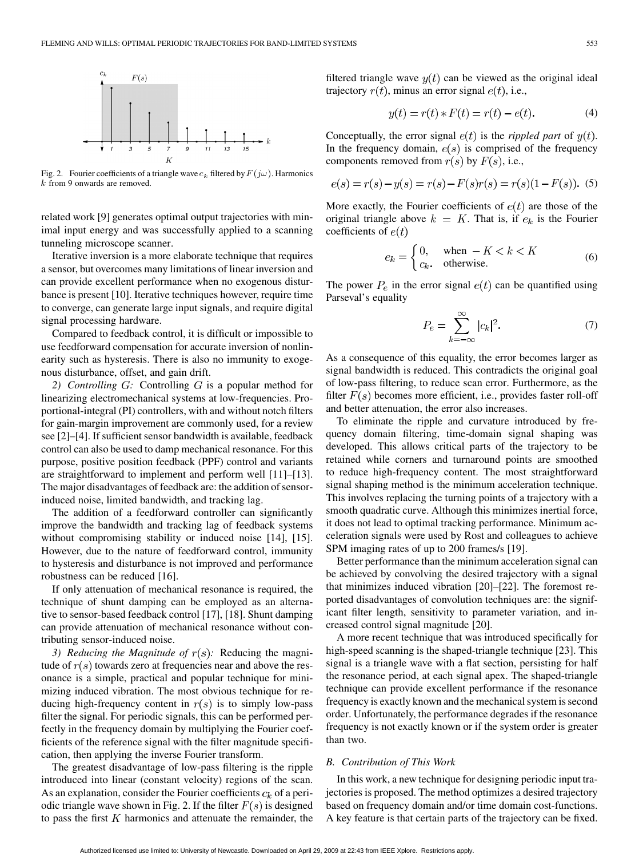

Fig. 2. Fourier coefficients of a triangle wave  $c_k$  filtered by  $F(j\omega)$ . Harmonics  $k$  from 9 onwards are removed.

related work [9] generates optimal output trajectories with minimal input energy and was successfully applied to a scanning tunneling microscope scanner.

Iterative inversion is a more elaborate technique that requires a sensor, but overcomes many limitations of linear inversion and can provide excellent performance when no exogenous disturbance is present [10]. Iterative techniques however, require time to converge, can generate large input signals, and require digital signal processing hardware.

Compared to feedback control, it is difficult or impossible to use feedforward compensation for accurate inversion of nonlinearity such as hysteresis. There is also no immunity to exogenous disturbance, offset, and gain drift.

2) Controlling G: Controlling G is a popular method for linearizing electromechanical systems at low-frequencies. Proportional-integral (PI) controllers, with and without notch filters for gain-margin improvement are commonly used, for a review see [2]–[4]. If sufficient sensor bandwidth is available, feedback control can also be used to damp mechanical resonance. For this purpose, positive position feedback (PPF) control and variants are straightforward to implement and perform well [11]–[13]. The major disadvantages of feedback are: the addition of sensorinduced noise, limited bandwidth, and tracking lag.

The addition of a feedforward controller can significantly improve the bandwidth and tracking lag of feedback systems without compromising stability or induced noise [14], [15]. However, due to the nature of feedforward control, immunity to hysteresis and disturbance is not improved and performance robustness can be reduced [16].

If only attenuation of mechanical resonance is required, the technique of shunt damping can be employed as an alternative to sensor-based feedback control [17], [18]. Shunt damping can provide attenuation of mechanical resonance without contributing sensor-induced noise.

*3) Reducing the Magnitude of*  $r(s)$ : Reducing the magnitude of  $r(s)$  towards zero at frequencies near and above the resonance is a simple, practical and popular technique for minimizing induced vibration. The most obvious technique for reducing high-frequency content in  $r(s)$  is to simply low-pass filter the signal. For periodic signals, this can be performed perfectly in the frequency domain by multiplying the Fourier coefficients of the reference signal with the filter magnitude specification, then applying the inverse Fourier transform.

The greatest disadvantage of low-pass filtering is the ripple introduced into linear (constant velocity) regions of the scan. As an explanation, consider the Fourier coefficients  $c_k$  of a periodic triangle wave shown in Fig. 2. If the filter  $F(s)$  is designed to pass the first  $K$  harmonics and attenuate the remainder, the

filtered triangle wave  $y(t)$  can be viewed as the original ideal trajectory  $r(t)$ , minus an error signal  $e(t)$ , i.e.,

$$
y(t) = r(t) * F(t) = r(t) - e(t).
$$
 (4)

Conceptually, the error signal  $e(t)$  is the *rippled part* of  $y(t)$ . In the frequency domain,  $e(s)$  is comprised of the frequency components removed from  $r(s)$  by  $F(s)$ , i.e.,

$$
e(s) = r(s) - y(s) = r(s) - F(s)r(s) = r(s)(1 - F(s)).
$$
 (5)

More exactly, the Fourier coefficients of  $e(t)$  are those of the original triangle above  $k = K$ . That is, if  $e_k$  is the Fourier coefficients of  $e(t)$ 

$$
e_k = \begin{cases} 0, & \text{when } -K < k < K \\ c_k, & \text{otherwise.} \end{cases} \tag{6}
$$

The power  $P_e$  in the error signal  $e(t)$  can be quantified using Parseval's equality

$$
P_e = \sum_{k=-\infty}^{\infty} |c_k|^2.
$$
 (7)

As a consequence of this equality, the error becomes larger as signal bandwidth is reduced. This contradicts the original goal of low-pass filtering, to reduce scan error. Furthermore, as the filter  $F(s)$  becomes more efficient, i.e., provides faster roll-off and better attenuation, the error also increases.

To eliminate the ripple and curvature introduced by frequency domain filtering, time-domain signal shaping was developed. This allows critical parts of the trajectory to be retained while corners and turnaround points are smoothed to reduce high-frequency content. The most straightforward signal shaping method is the minimum acceleration technique. This involves replacing the turning points of a trajectory with a smooth quadratic curve. Although this minimizes inertial force, it does not lead to optimal tracking performance. Minimum acceleration signals were used by Rost and colleagues to achieve SPM imaging rates of up to 200 frames/s [19].

Better performance than the minimum acceleration signal can be achieved by convolving the desired trajectory with a signal that minimizes induced vibration [20]–[22]. The foremost reported disadvantages of convolution techniques are: the significant filter length, sensitivity to parameter variation, and increased control signal magnitude [20].

A more recent technique that was introduced specifically for high-speed scanning is the shaped-triangle technique [23]. This signal is a triangle wave with a flat section, persisting for half the resonance period, at each signal apex. The shaped-triangle technique can provide excellent performance if the resonance frequency is exactly known and the mechanical system is second order. Unfortunately, the performance degrades if the resonance frequency is not exactly known or if the system order is greater than two.

#### *B. Contribution of This Work*

In this work, a new technique for designing periodic input trajectories is proposed. The method optimizes a desired trajectory based on frequency domain and/or time domain cost-functions. A key feature is that certain parts of the trajectory can be fixed.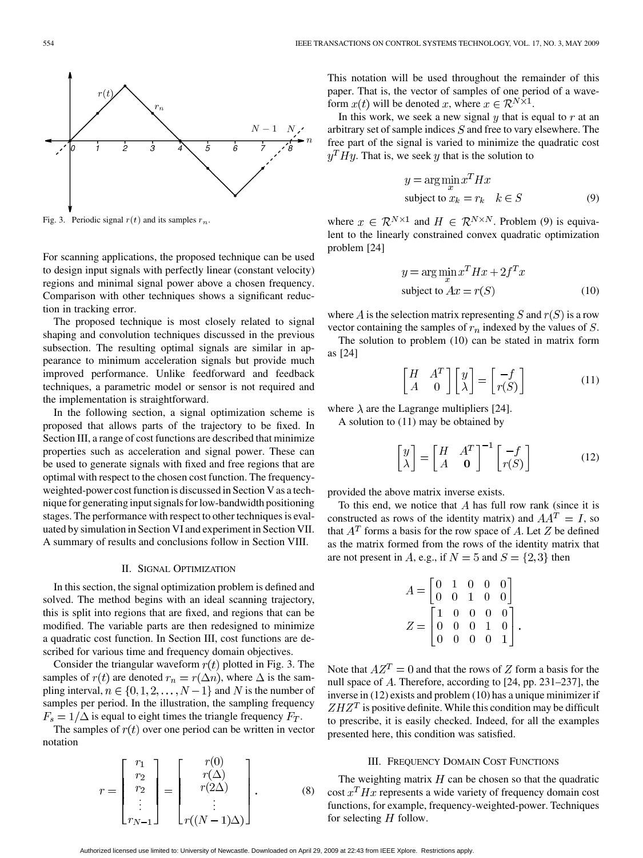

Fig. 3. Periodic signal  $r(t)$  and its samples  $r_n$ .

For scanning applications, the proposed technique can be used to design input signals with perfectly linear (constant velocity) regions and minimal signal power above a chosen frequency. Comparison with other techniques shows a significant reduction in tracking error.

The proposed technique is most closely related to signal shaping and convolution techniques discussed in the previous subsection. The resulting optimal signals are similar in appearance to minimum acceleration signals but provide much improved performance. Unlike feedforward and feedback techniques, a parametric model or sensor is not required and the implementation is straightforward.

In the following section, a signal optimization scheme is proposed that allows parts of the trajectory to be fixed. In Section III, a range of cost functions are described that minimize properties such as acceleration and signal power. These can be used to generate signals with fixed and free regions that are optimal with respect to the chosen cost function. The frequencyweighted-power cost function is discussed in Section V as a technique for generating input signals for low-bandwidth positioning stages. The performance with respect to other techniques is evaluated by simulation in Section VI and experiment in Section VII. A summary of results and conclusions follow in Section VIII.

# II. SIGNAL OPTIMIZATION

In this section, the signal optimization problem is defined and solved. The method begins with an ideal scanning trajectory, this is split into regions that are fixed, and regions that can be modified. The variable parts are then redesigned to minimize a quadratic cost function. In Section III, cost functions are described for various time and frequency domain objectives.

Consider the triangular waveform  $r(t)$  plotted in Fig. 3. The samples of  $r(t)$  are denoted  $r_n = r(\Delta n)$ , where  $\Delta$  is the sampling interval,  $n \in \{0, 1, 2, \dots, N-1\}$  and N is the number of samples per period. In the illustration, the sampling frequency  $F_s = 1/\Delta$  is equal to eight times the triangle frequency  $F_T$ .

The samples of  $r(t)$  over one period can be written in vector notation

$$
r = \begin{bmatrix} r_1 \\ r_2 \\ r_2 \\ \vdots \\ r_{N-1} \end{bmatrix} = \begin{bmatrix} r(0) \\ r(\Delta) \\ r(2\Delta) \\ \vdots \\ r((N-1)\Delta) \end{bmatrix} . \tag{8}
$$

This notation will be used throughout the remainder of this paper. That is, the vector of samples of one period of a waveform  $x(t)$  will be denoted x, where  $x \in \mathcal{R}^{N \times 1}$ .

In this work, we seek a new signal  $\eta$  that is equal to  $r$  at an arbitrary set of sample indices  $S$  and free to vary elsewhere. The free part of the signal is varied to minimize the quadratic cost  $y<sup>T</sup>Hy$ . That is, we seek y that is the solution to

$$
y = \arg\min_{x} x^{T} H x
$$
  
subject to  $x_{k} = r_{k} \quad k \in S$  (9)

where  $x \in \mathbb{R}^{N \times 1}$  and  $H \in \mathbb{R}^{N \times N}$ . Problem (9) is equivalent to the linearly constrained convex quadratic optimization problem [24]

$$
y = \arg\min_{x} x^{T} Hx + 2f^{T} x
$$
  
subject to  $Ax = r(S)$  (10)

where A is the selection matrix representing S and  $r(S)$  is a row vector containing the samples of  $r_n$  indexed by the values of  $S$ .

The solution to problem (10) can be stated in matrix form as [24]

$$
\begin{bmatrix} H & A^T \\ A & 0 \end{bmatrix} \begin{bmatrix} y \\ \lambda \end{bmatrix} = \begin{bmatrix} -f \\ r(S) \end{bmatrix}
$$
 (11)

where  $\lambda$  are the Lagrange multipliers [24].

A solution to (11) may be obtained by

$$
\begin{bmatrix} y \\ \lambda \end{bmatrix} = \begin{bmatrix} H & A^T \\ A & \mathbf{0} \end{bmatrix}^{-1} \begin{bmatrix} -f \\ r(S) \end{bmatrix}
$$
 (12)

provided the above matrix inverse exists.

To this end, we notice that  $A$  has full row rank (since it is constructed as rows of the identity matrix) and  $AA<sup>T</sup> = I$ , so that  $A<sup>T</sup>$  forms a basis for the row space of A. Let Z be defined as the matrix formed from the rows of the identity matrix that are not present in A, e.g., if  $N = 5$  and  $S = \{2,3\}$  then

| $A=\begin{bmatrix} 0&1&0&0&0\\ 0&0&1&0&0 \end{bmatrix}$                                          |  |  |  |
|--------------------------------------------------------------------------------------------------|--|--|--|
|                                                                                                  |  |  |  |
| $Z = \begin{bmatrix} 1 & 0 & 0 & 0 & 0 \\ 0 & 0 & 0 & 1 & 0 \\ 0 & 0 & 0 & 0 & 1 \end{bmatrix}.$ |  |  |  |
|                                                                                                  |  |  |  |
|                                                                                                  |  |  |  |

Note that  $AZ^T = 0$  and that the rows of Z form a basis for the null space of  $A$ . Therefore, according to [24, pp. 231–237], the inverse in (12) exists and problem (10) has a unique minimizer if  $ZHZ<sup>T</sup>$  is positive definite. While this condition may be difficult to prescribe, it is easily checked. Indeed, for all the examples presented here, this condition was satisfied.

## III. FREQUENCY DOMAIN COST FUNCTIONS

The weighting matrix  $H$  can be chosen so that the quadratic cost  $x^T H x$  represents a wide variety of frequency domain cost functions, for example, frequency-weighted-power. Techniques for selecting  $H$  follow.

Authorized licensed use limited to: University of Newcastle. Downloaded on April 29, 2009 at 22:43 from IEEE Xplore. Restrictions apply.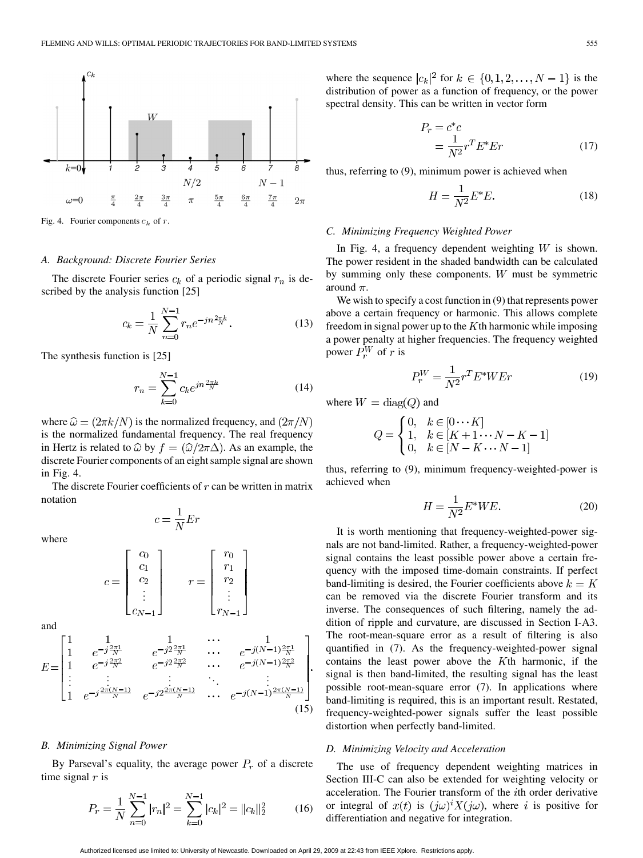

Fig. 4. Fourier components  $c_k$  of r.

#### *A. Background: Discrete Fourier Series*

The discrete Fourier series  $c_k$  of a periodic signal  $r_n$  is described by the analysis function [25]

$$
c_k = \frac{1}{N} \sum_{n=0}^{N-1} r_n e^{-jn\frac{2\pi k}{N}}.
$$
 (13)

The synthesis function is [25]

$$
r_n = \sum_{k=0}^{N-1} c_k e^{jn\frac{2\pi k}{N}}
$$
 (14)

where  $\hat{\omega} = (2\pi k/N)$  is the normalized frequency, and  $(2\pi/N)$ is the normalized fundamental frequency. The real frequency in Hertz is related to  $\hat{\omega}$  by  $f = (\hat{\omega}/2\pi\Delta)$ . As an example, the discrete Fourier components of an eight sample signal are shown in Fig. 4.

The discrete Fourier coefficients of  $r$  can be written in matrix notation

 $c = \frac{1}{N}Er$ 

where

$$
c = \begin{bmatrix} c_0 \\ c_1 \\ c_2 \\ \vdots \\ c_{N-1} \end{bmatrix} \qquad r = \begin{bmatrix} r_0 \\ r_1 \\ r_2 \\ \vdots \\ r_{N-1} \end{bmatrix}
$$

and

$$
E = \begin{bmatrix} 1 & 1 & 1 & \cdots & 1 \\ 1 & e^{-j\frac{2\pi 1}{N}} & e^{-j2\frac{2\pi 1}{N}} & \cdots & e^{-j(N-1)\frac{2\pi 1}{N}} \\ 1 & e^{-j\frac{2\pi 2}{N}} & e^{-j2\frac{2\pi 2}{N}} & \cdots & e^{-j(N-1)\frac{2\pi 2}{N}} \\ \vdots & \vdots & \vdots & \ddots & \vdots \\ 1 & e^{-j\frac{2\pi (N-1)}{N}} & e^{-j2\frac{2\pi (N-1)}{N}} & \cdots & e^{-j(N-1)\frac{2\pi (N-1)}{N}} \end{bmatrix} .
$$
\n(15)

#### *B. Minimizing Signal Power*

By Parseval's equality, the average power  $P_r$  of a discrete time signal  $r$  is

$$
P_r = \frac{1}{N} \sum_{n=0}^{N-1} |r_n|^2 = \sum_{k=0}^{N-1} |c_k|^2 = ||c_k||_2^2 \tag{16}
$$

where the sequence  $|c_k|^2$  for  $k \in \{0, 1, 2, \ldots, N-1\}$  is the distribution of power as a function of frequency, or the power spectral density. This can be written in vector form

$$
P_r = c^*c
$$
  
= 
$$
\frac{1}{N^2}r^T E^* E r
$$
 (17)

thus, referring to (9), minimum power is achieved when

$$
H = \frac{1}{N^2} E^* E. \tag{18}
$$

## *C. Minimizing Frequency Weighted Power*

In Fig. 4, a frequency dependent weighting  $W$  is shown. The power resident in the shaded bandwidth can be calculated by summing only these components.  $W$  must be symmetric around  $\pi$ .

We wish to specify a cost function in  $(9)$  that represents power above a certain frequency or harmonic. This allows complete freedom in signal power up to the  $K$ th harmonic while imposing a power penalty at higher frequencies. The frequency weighted power  $P_r^W$  of r is

$$
P_r^W = \frac{1}{N^2} r^T E^* W E r \tag{19}
$$

where  $W = diag(Q)$  and

$$
Q = \begin{cases} 0, & k \in [0 \cdots K] \\ 1, & k \in [K+1 \cdots N-K-1] \\ 0, & k \in [N-K \cdots N-1] \end{cases}
$$

thus, referring to (9), minimum frequency-weighted-power is achieved when

$$
H = \frac{1}{N^2} E^* W E. \tag{20}
$$

It is worth mentioning that frequency-weighted-power signals are not band-limited. Rather, a frequency-weighted-power signal contains the least possible power above a certain frequency with the imposed time-domain constraints. If perfect band-limiting is desired, the Fourier coefficients above  $k = K$ can be removed via the discrete Fourier transform and its inverse. The consequences of such filtering, namely the addition of ripple and curvature, are discussed in Section I-A3. The root-mean-square error as a result of filtering is also quantified in (7). As the frequency-weighted-power signal contains the least power above the  $K$ th harmonic, if the signal is then band-limited, the resulting signal has the least possible root-mean-square error (7). In applications where band-limiting is required, this is an important result. Restated, frequency-weighted-power signals suffer the least possible distortion when perfectly band-limited.

# *D. Minimizing Velocity and Acceleration*

The use of frequency dependent weighting matrices in Section III-C can also be extended for weighting velocity or acceleration. The Fourier transform of the  $i$ th order derivative or integral of  $x(t)$  is  $(j\omega)^{i} X(j\omega)$ , where i is positive for differentiation and negative for integration.

Authorized licensed use limited to: University of Newcastle. Downloaded on April 29, 2009 at 22:43 from IEEE Xplore. Restrictions apply.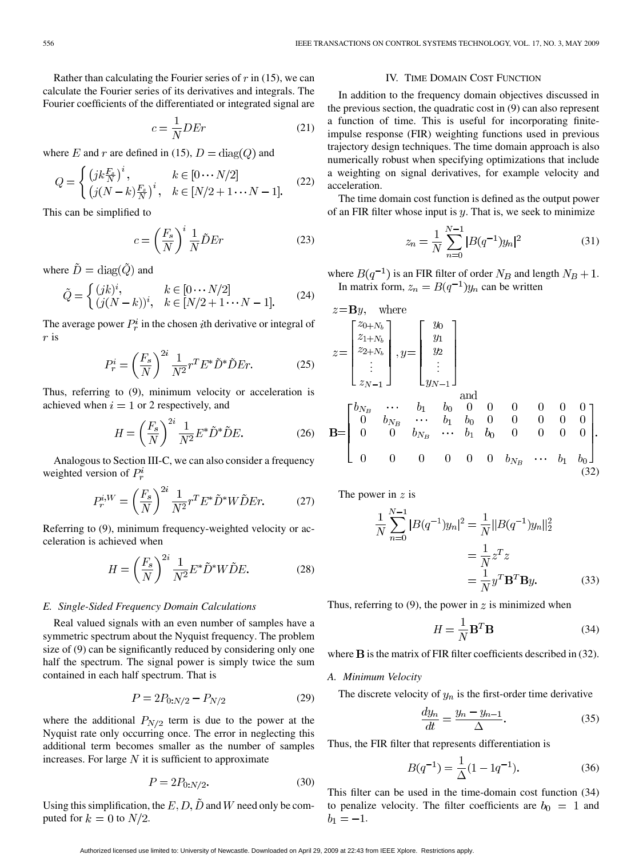Rather than calculating the Fourier series of  $r$  in (15), we can calculate the Fourier series of its derivatives and integrals. The Fourier coefficients of the differentiated or integrated signal are

$$
c = \frac{1}{N} D E r \tag{21}
$$

where E and r are defined in (15),  $D = diag(Q)$  and

$$
Q = \begin{cases} (jk\frac{F_s}{N})^i, & k \in [0 \cdots N/2] \\ (j(N-k)\frac{F_s}{N})^i, & k \in [N/2+1 \cdots N-1]. \end{cases}
$$
(22)

This can be simplified to

$$
c = \left(\frac{F_s}{N}\right)^i \frac{1}{N} \tilde{D} E r \tag{23}
$$

where  $\tilde{D} = \text{diag}(\tilde{Q})$  and

$$
\tilde{Q} = \begin{cases}\n(jk)^i, & k \in [0 \cdots N/2] \\
(j(N-k))^i, & k \in [N/2+1 \cdots N-1].\n\end{cases}
$$
\n(24)

The average power  $P_r^i$  in the chosen *i*th derivative or integral of  $r$  is

$$
P_r^i = \left(\frac{F_s}{N}\right)^{2i} \frac{1}{N^2} r^T E^* \tilde{D}^* \tilde{D} E r.
$$
 (25)

Thus, referring to (9), minimum velocity or acceleration is achieved when  $i = 1$  or 2 respectively, and

$$
H = \left(\frac{F_s}{N}\right)^{2i} \frac{1}{N^2} E^* \tilde{D}^* \tilde{D} E.
$$
 (26)

Analogous to Section III-C, we can also consider a frequency weighted version of  $P_r^i$ 

$$
P_r^{i,W} = \left(\frac{F_s}{N}\right)^{2i} \frac{1}{N^2} r^T E^* \tilde{D}^* W \tilde{D} E r. \tag{27}
$$

Referring to (9), minimum frequency-weighted velocity or acceleration is achieved when

$$
H = \left(\frac{F_s}{N}\right)^{2i} \frac{1}{N^2} E^* \tilde{D}^* W \tilde{D} E.
$$
 (28)

## *E. Single-Sided Frequency Domain Calculations*

Real valued signals with an even number of samples have a symmetric spectrum about the Nyquist frequency. The problem size of (9) can be significantly reduced by considering only one half the spectrum. The signal power is simply twice the sum contained in each half spectrum. That is

$$
P = 2P_{0:N/2} - P_{N/2} \tag{29}
$$

where the additional  $P_{N/2}$  term is due to the power at the Nyquist rate only occurring once. The error in neglecting this additional term becomes smaller as the number of samples increases. For large  $N$  it is sufficient to approximate

$$
P = 2P_{0:N/2}.\tag{30}
$$

Using this simplification, the  $E, D, \tilde{D}$  and W need only be computed for  $k = 0$  to  $N/2$ .

# IV. TIME DOMAIN COST FUNCTION

In addition to the frequency domain objectives discussed in the previous section, the quadratic cost in (9) can also represent a function of time. This is useful for incorporating finiteimpulse response (FIR) weighting functions used in previous trajectory design techniques. The time domain approach is also numerically robust when specifying optimizations that include a weighting on signal derivatives, for example velocity and acceleration.

The time domain cost function is defined as the output power of an FIR filter whose input is  $y$ . That is, we seek to minimize

$$
z_n = \frac{1}{N} \sum_{n=0}^{N-1} |B(q^{-1})y_n|^2
$$
 (31)

where  $B(q^{-1})$  is an FIR filter of order  $N_B$  and length  $N_B + 1$ . In matrix form,  $z_n = B(q^{-1})y_n$  can be written

$$
z = \mathbf{B}y, \text{ where}
$$
\n
$$
z = \begin{bmatrix} z_{0+N_b} \\ z_{1+N_b} \\ z_{2+N_b} \\ \vdots \\ z_{N-1} \end{bmatrix}, y = \begin{bmatrix} y_0 \\ y_1 \\ y_2 \\ \vdots \\ y_{N-1} \end{bmatrix}
$$
\nand\n
$$
\mathbf{B} = \begin{bmatrix} b_{N_B} & \cdots & b_1 & b_0 & 0 & 0 & 0 & 0 & 0 \\ 0 & b_{N_B} & \cdots & b_1 & b_0 & 0 & 0 & 0 & 0 \\ 0 & 0 & b_{N_B} & \cdots & b_1 & b_0 & 0 & 0 & 0 & 0 \\ 0 & 0 & 0 & 0 & 0 & 0 & 0 & 0 & 0 \\ 0 & 0 & 0 & 0 & 0 & 0 & b_{N_B} & \cdots & b_1 & b_0 \end{bmatrix}.
$$
\n(32)

The power in  $z$  is

$$
\frac{1}{N} \sum_{n=0}^{N-1} |B(q^{-1})y_n|^2 = \frac{1}{N} ||B(q^{-1})y_n||_2^2
$$

$$
= \frac{1}{N} z^T z
$$

$$
= \frac{1}{N} y^T \mathbf{B}^T \mathbf{B} y.
$$
(33)

Thus, referring to (9), the power in  $z$  is minimized when

$$
H = \frac{1}{N} \mathbf{B}^T \mathbf{B} \tag{34}
$$

where  $\bf{B}$  is the matrix of FIR filter coefficients described in (32).

#### *A. Minimum Velocity*

The discrete velocity of  $y_n$  is the first-order time derivative

$$
\frac{dy_n}{dt} = \frac{y_n - y_{n-1}}{\Delta}.\tag{35}
$$

Thus, the FIR filter that represents differentiation is

$$
B(q^{-1}) = \frac{1}{\Delta}(1 - 1q^{-1}).
$$
\n(36)

This filter can be used in the time-domain cost function (34) to penalize velocity. The filter coefficients are  $b_0 = 1$  and  $b_1 = -1.$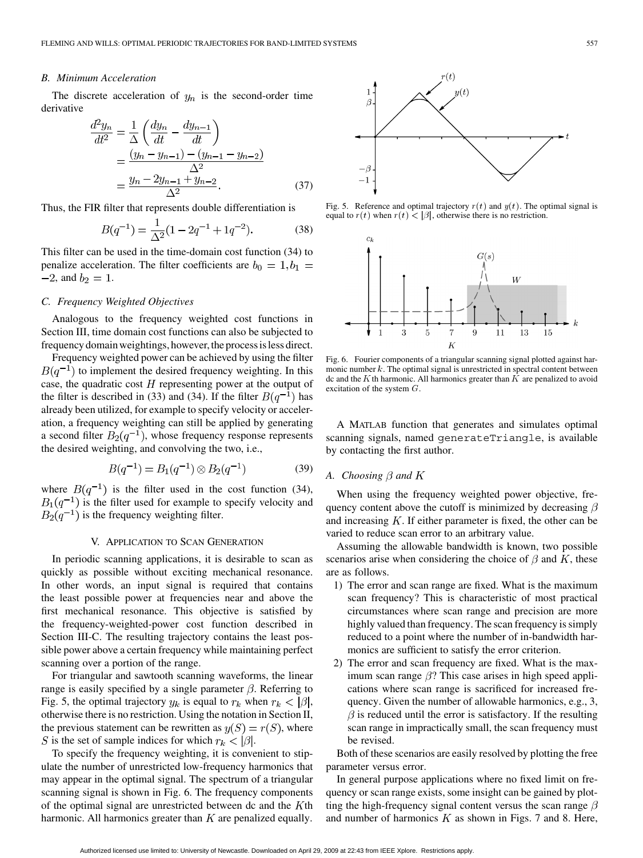## *B. Minimum Acceleration*

The discrete acceleration of  $y_n$  is the second-order time derivative

$$
\frac{d^2 y_n}{dt^2} = \frac{1}{\Delta} \left( \frac{dy_n}{dt} - \frac{dy_{n-1}}{dt} \right)
$$
  
= 
$$
\frac{(y_n - y_{n-1}) - (y_{n-1} - y_{n-2})}{\Delta^2}
$$
  
= 
$$
\frac{y_n - 2y_{n-1} + y_{n-2}}{\Delta^2}.
$$
 (37)

Thus, the FIR filter that represents double differentiation is

$$
B(q^{-1}) = \frac{1}{\Delta^2} (1 - 2q^{-1} + 1q^{-2}).
$$
 (38)

This filter can be used in the time-domain cost function (34) to penalize acceleration. The filter coefficients are  $b_0 = 1, b_1 =$  $-2$ , and  $b_2 = 1$ .

#### *C. Frequency Weighted Objectives*

Analogous to the frequency weighted cost functions in Section III, time domain cost functions can also be subjected to frequency domain weightings, however, the process is less direct.

Frequency weighted power can be achieved by using the filter  $B(q^{-1})$  to implement the desired frequency weighting. In this case, the quadratic cost  $H$  representing power at the output of the filter is described in (33) and (34). If the filter  $B(q^{-1})$  has already been utilized, for example to specify velocity or acceleration, a frequency weighting can still be applied by generating a second filter  $B_2(q^{-1})$ , whose frequency response represents the desired weighting, and convolving the two, i.e.,

$$
B(q^{-1}) = B_1(q^{-1}) \otimes B_2(q^{-1}) \tag{39}
$$

where  $B(q^{-1})$  is the filter used in the cost function (34),  $B_1(q^{-1})$  is the filter used for example to specify velocity and  $B_2(q^{-1})$  is the frequency weighting filter.

# V. APPLICATION TO SCAN GENERATION

In periodic scanning applications, it is desirable to scan as quickly as possible without exciting mechanical resonance. In other words, an input signal is required that contains the least possible power at frequencies near and above the first mechanical resonance. This objective is satisfied by the frequency-weighted-power cost function described in Section III-C. The resulting trajectory contains the least possible power above a certain frequency while maintaining perfect scanning over a portion of the range.

For triangular and sawtooth scanning waveforms, the linear range is easily specified by a single parameter  $\beta$ . Referring to Fig. 5, the optimal trajectory  $y_k$  is equal to  $r_k$  when  $r_k < |\beta|$ , otherwise there is no restriction. Using the notation in Section II, the previous statement can be rewritten as  $y(S) = r(S)$ , where S is the set of sample indices for which  $r_k < |\beta|$ .

To specify the frequency weighting, it is convenient to stipulate the number of unrestricted low-frequency harmonics that may appear in the optimal signal. The spectrum of a triangular scanning signal is shown in Fig. 6. The frequency components of the optimal signal are unrestricted between dc and the  $K$ th harmonic. All harmonics greater than  $K$  are penalized equally.



Fig. 5. Reference and optimal trajectory  $r(t)$  and  $y(t)$ . The optimal signal is equal to  $r(t)$  when  $r(t) < |\beta|$ , otherwise there is no restriction.



Fig. 6. Fourier components of a triangular scanning signal plotted against harmonic number  $k$ . The optimal signal is unrestricted in spectral content between dc and the  $K$ th harmonic. All harmonics greater than  $K$  are penalized to avoid excitation of the system  $G$ .

A MATLAB function that generates and simulates optimal scanning signals, named generateTriangle, is available by contacting the first author.

## A. Choosing  $\beta$  and  $K$

When using the frequency weighted power objective, frequency content above the cutoff is minimized by decreasing  $\beta$ and increasing  $K$ . If either parameter is fixed, the other can be varied to reduce scan error to an arbitrary value.

Assuming the allowable bandwidth is known, two possible scenarios arise when considering the choice of  $\beta$  and K, these are as follows.

- 1) The error and scan range are fixed. What is the maximum scan frequency? This is characteristic of most practical circumstances where scan range and precision are more highly valued than frequency. The scan frequency is simply reduced to a point where the number of in-bandwidth harmonics are sufficient to satisfy the error criterion.
- 2) The error and scan frequency are fixed. What is the maximum scan range  $\beta$ ? This case arises in high speed applications where scan range is sacrificed for increased frequency. Given the number of allowable harmonics, e.g., 3,  $\beta$  is reduced until the error is satisfactory. If the resulting scan range in impractically small, the scan frequency must be revised.

Both of these scenarios are easily resolved by plotting the free parameter versus error.

In general purpose applications where no fixed limit on frequency or scan range exists, some insight can be gained by plotting the high-frequency signal content versus the scan range  $\beta$ and number of harmonics  $K$  as shown in Figs. 7 and 8. Here,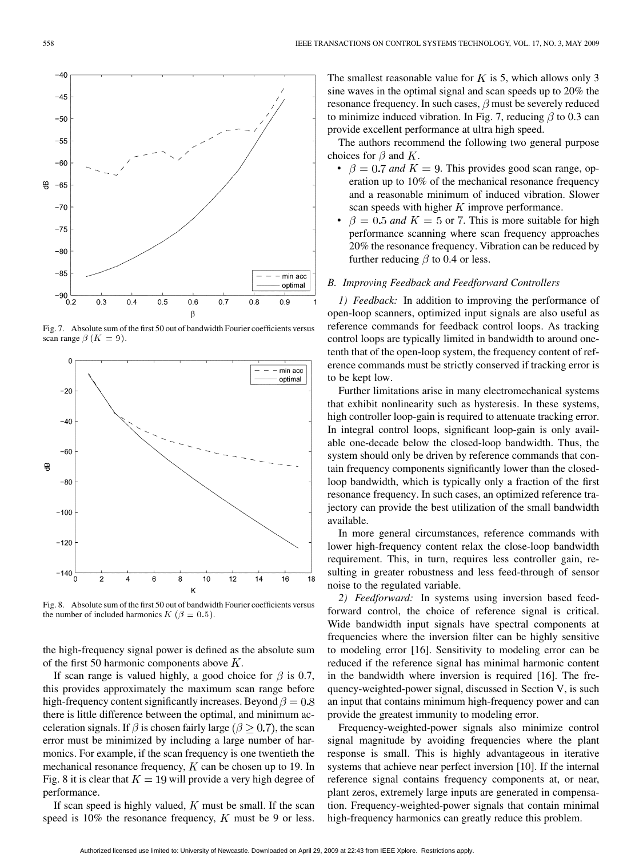

Fig. 7. Absolute sum of the first 50 out of bandwidth Fourier coefficients versus scan range  $\beta$  ( $K = 9$ ).



Fig. 8. Absolute sum of the first 50 out of bandwidth Fourier coefficients versus the number of included harmonics  $K$  ( $\beta = 0.5$ ).

the high-frequency signal power is defined as the absolute sum of the first 50 harmonic components above  $K$ .

If scan range is valued highly, a good choice for  $\beta$  is 0.7, this provides approximately the maximum scan range before high-frequency content significantly increases. Beyond  $\beta = 0.8$ there is little difference between the optimal, and minimum acceleration signals. If  $\beta$  is chosen fairly large ( $\beta \geq 0.7$ ), the scan error must be minimized by including a large number of harmonics. For example, if the scan frequency is one twentieth the mechanical resonance frequency,  $K$  can be chosen up to 19. In Fig. 8 it is clear that  $K = 19$  will provide a very high degree of performance.

If scan speed is highly valued,  $K$  must be small. If the scan speed is 10% the resonance frequency,  $K$  must be 9 or less. The smallest reasonable value for  $K$  is 5, which allows only 3 sine waves in the optimal signal and scan speeds up to 20% the resonance frequency. In such cases,  $\beta$  must be severely reduced to minimize induced vibration. In Fig. 7, reducing  $\beta$  to 0.3 can provide excellent performance at ultra high speed.

The authors recommend the following two general purpose choices for  $\beta$  and K.

- $\beta = 0.7$  and  $K = 9$ . This provides good scan range, operation up to 10% of the mechanical resonance frequency and a reasonable minimum of induced vibration. Slower scan speeds with higher  $K$  improve performance.
- $\beta = 0.5$  and  $K = 5$  or 7. This is more suitable for high performance scanning where scan frequency approaches 20% the resonance frequency. Vibration can be reduced by further reducing  $\beta$  to 0.4 or less.

#### *B. Improving Feedback and Feedforward Controllers*

*1) Feedback:* In addition to improving the performance of open-loop scanners, optimized input signals are also useful as reference commands for feedback control loops. As tracking control loops are typically limited in bandwidth to around onetenth that of the open-loop system, the frequency content of reference commands must be strictly conserved if tracking error is to be kept low.

Further limitations arise in many electromechanical systems that exhibit nonlinearity such as hysteresis. In these systems, high controller loop-gain is required to attenuate tracking error. In integral control loops, significant loop-gain is only available one-decade below the closed-loop bandwidth. Thus, the system should only be driven by reference commands that contain frequency components significantly lower than the closedloop bandwidth, which is typically only a fraction of the first resonance frequency. In such cases, an optimized reference trajectory can provide the best utilization of the small bandwidth available.

In more general circumstances, reference commands with lower high-frequency content relax the close-loop bandwidth requirement. This, in turn, requires less controller gain, resulting in greater robustness and less feed-through of sensor noise to the regulated variable.

*2) Feedforward:* In systems using inversion based feedforward control, the choice of reference signal is critical. Wide bandwidth input signals have spectral components at frequencies where the inversion filter can be highly sensitive to modeling error [16]. Sensitivity to modeling error can be reduced if the reference signal has minimal harmonic content in the bandwidth where inversion is required [16]. The frequency-weighted-power signal, discussed in Section V, is such an input that contains minimum high-frequency power and can provide the greatest immunity to modeling error.

Frequency-weighted-power signals also minimize control signal magnitude by avoiding frequencies where the plant response is small. This is highly advantageous in iterative systems that achieve near perfect inversion [10]. If the internal reference signal contains frequency components at, or near, plant zeros, extremely large inputs are generated in compensation. Frequency-weighted-power signals that contain minimal high-frequency harmonics can greatly reduce this problem.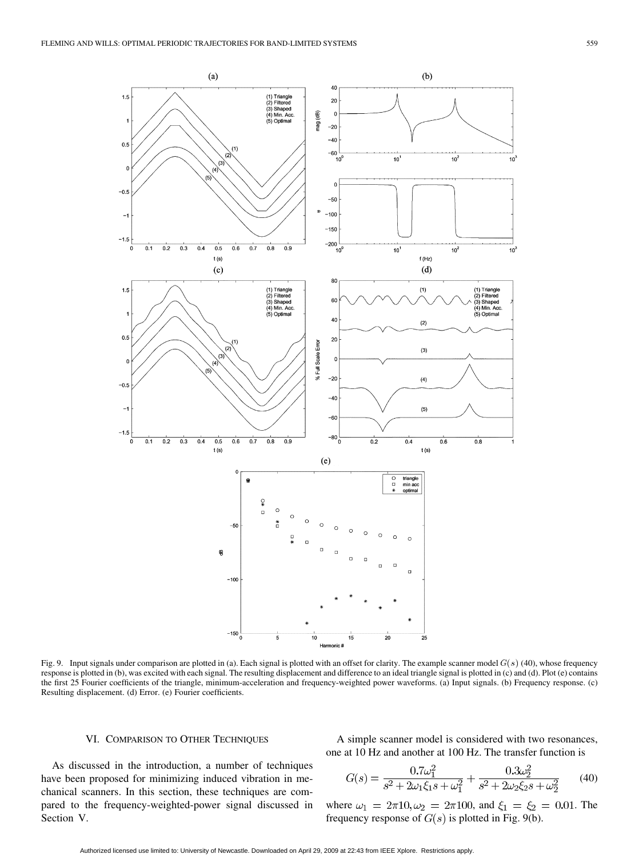

Fig. 9. Input signals under comparison are plotted in (a). Each signal is plotted with an offset for clarity. The example scanner model  $G(s)$  (40), whose frequency response is plotted in (b), was excited with each signal. The resulting displacement and difference to an ideal triangle signal is plotted in (c) and (d). Plot (e) contains the first 25 Fourier coefficients of the triangle, minimum-acceleration and frequency-weighted power waveforms. (a) Input signals. (b) Frequency response. (c) Resulting displacement. (d) Error. (e) Fourier coefficients.

## VI. COMPARISON TO OTHER TECHNIQUES

As discussed in the introduction, a number of techniques have been proposed for minimizing induced vibration in mechanical scanners. In this section, these techniques are compared to the frequency-weighted-power signal discussed in Section V.

A simple scanner model is considered with two resonances, one at 10 Hz and another at 100 Hz. The transfer function is

$$
G(s) = \frac{0.7\omega_1^2}{s^2 + 2\omega_1\xi_1s + \omega_1^2} + \frac{0.3\omega_2^2}{s^2 + 2\omega_2\xi_2s + \omega_2^2}
$$
(40)

where  $\omega_1 = 2\pi 10, \omega_2 = 2\pi 100$ , and  $\xi_1 = \xi_2 = 0.01$ . The frequency response of  $G(s)$  is plotted in Fig. 9(b).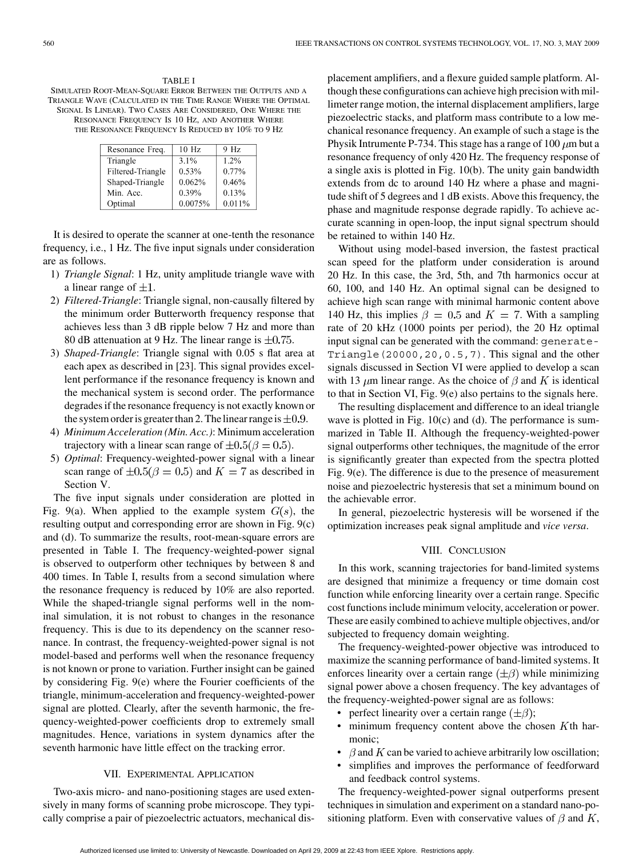TABLE I SIMULATED ROOT-MEAN-SQUARE ERROR BETWEEN THE OUTPUTS AND A TRIANGLE WAVE (CALCULATED IN THE TIME RANGE WHERE THE OPTIMAL SIGNAL IS LINEAR). TWO CASES ARE CONSIDERED, ONE WHERE THE RESONANCE FREQUENCY IS 10 HZ, AND ANOTHER WHERE THE RESONANCE FREQUENCY IS REDUCED BY 10% TO 9 HZ

| Resonance Freq.   | $10$ Hz | 9 Hz   |
|-------------------|---------|--------|
| Triangle          | 3.1%    | 1.2%   |
| Filtered-Triangle | 0.53%   | 0.77%  |
| Shaped-Triangle   | 0.062%  | 0.46%  |
| Min. Acc.         | 0.39%   | 0.13%  |
| Optimal           | 0.0075% | 0.011% |

It is desired to operate the scanner at one-tenth the resonance frequency, i.e., 1 Hz. The five input signals under consideration are as follows.

- 1) *Triangle Signal*: 1 Hz, unity amplitude triangle wave with a linear range of  $\pm 1$ .
- 2) *Filtered-Triangle*: Triangle signal, non-causally filtered by the minimum order Butterworth frequency response that achieves less than 3 dB ripple below 7 Hz and more than 80 dB attenuation at 9 Hz. The linear range is  $\pm 0.75$ .
- 3) *Shaped-Triangle*: Triangle signal with 0.05 s flat area at each apex as described in [23]. This signal provides excellent performance if the resonance frequency is known and the mechanical system is second order. The performance degrades if the resonance frequency is not exactly known or the system order is greater than 2. The linear range is  $\pm 0.9$ .
- 4) *Minimum Acceleration (Min. Acc.)*: Minimum acceleration trajectory with a linear scan range of  $\pm 0.5(\beta = 0.5)$ .
- 5) *Optimal*: Frequency-weighted-power signal with a linear scan range of  $\pm 0.5(\beta = 0.5)$  and  $K = 7$  as described in Section V.

The five input signals under consideration are plotted in Fig. 9(a). When applied to the example system  $G(s)$ , the resulting output and corresponding error are shown in Fig. 9(c) and (d). To summarize the results, root-mean-square errors are presented in Table I. The frequency-weighted-power signal is observed to outperform other techniques by between 8 and 400 times. In Table I, results from a second simulation where the resonance frequency is reduced by 10% are also reported. While the shaped-triangle signal performs well in the nominal simulation, it is not robust to changes in the resonance frequency. This is due to its dependency on the scanner resonance. In contrast, the frequency-weighted-power signal is not model-based and performs well when the resonance frequency is not known or prone to variation. Further insight can be gained by considering Fig. 9(e) where the Fourier coefficients of the triangle, minimum-acceleration and frequency-weighted-power signal are plotted. Clearly, after the seventh harmonic, the frequency-weighted-power coefficients drop to extremely small magnitudes. Hence, variations in system dynamics after the seventh harmonic have little effect on the tracking error.

#### VII. EXPERIMENTAL APPLICATION

Two-axis micro- and nano-positioning stages are used extensively in many forms of scanning probe microscope. They typically comprise a pair of piezoelectric actuators, mechanical displacement amplifiers, and a flexure guided sample platform. Although these configurations can achieve high precision with millimeter range motion, the internal displacement amplifiers, large piezoelectric stacks, and platform mass contribute to a low mechanical resonance frequency. An example of such a stage is the Physik Intrumente P-734. This stage has a range of  $100 \mu m$  but a resonance frequency of only 420 Hz. The frequency response of a single axis is plotted in Fig. 10(b). The unity gain bandwidth extends from dc to around 140 Hz where a phase and magnitude shift of 5 degrees and 1 dB exists. Above this frequency, the phase and magnitude response degrade rapidly. To achieve accurate scanning in open-loop, the input signal spectrum should be retained to within 140 Hz.

Without using model-based inversion, the fastest practical scan speed for the platform under consideration is around 20 Hz. In this case, the 3rd, 5th, and 7th harmonics occur at 60, 100, and 140 Hz. An optimal signal can be designed to achieve high scan range with minimal harmonic content above 140 Hz, this implies  $\beta = 0.5$  and  $K = 7$ . With a sampling rate of 20 kHz (1000 points per period), the 20 Hz optimal input signal can be generated with the command: generate-Triangle(20000,20,0.5,7). This signal and the other signals discussed in Section VI were applied to develop a scan with 13  $\mu$ m linear range. As the choice of  $\beta$  and K is identical to that in Section VI, Fig. 9(e) also pertains to the signals here.

The resulting displacement and difference to an ideal triangle wave is plotted in Fig. 10(c) and (d). The performance is summarized in Table II. Although the frequency-weighted-power signal outperforms other techniques, the magnitude of the error is significantly greater than expected from the spectra plotted Fig. 9(e). The difference is due to the presence of measurement noise and piezoelectric hysteresis that set a minimum bound on the achievable error.

In general, piezoelectric hysteresis will be worsened if the optimization increases peak signal amplitude and *vice versa*.

#### VIII. CONCLUSION

In this work, scanning trajectories for band-limited systems are designed that minimize a frequency or time domain cost function while enforcing linearity over a certain range. Specific cost functions include minimum velocity, acceleration or power. These are easily combined to achieve multiple objectives, and/or subjected to frequency domain weighting.

The frequency-weighted-power objective was introduced to maximize the scanning performance of band-limited systems. It enforces linearity over a certain range  $(\pm \beta)$  while minimizing signal power above a chosen frequency. The key advantages of the frequency-weighted-power signal are as follows:

- perfect linearity over a certain range  $(\pm \beta)$ ;
- minimum frequency content above the chosen  $K$ th harmonic;
- $\beta$  and K can be varied to achieve arbitrarily low oscillation;
- simplifies and improves the performance of feedforward and feedback control systems.

The frequency-weighted-power signal outperforms present techniques in simulation and experiment on a standard nano-positioning platform. Even with conservative values of  $\beta$  and  $K$ ,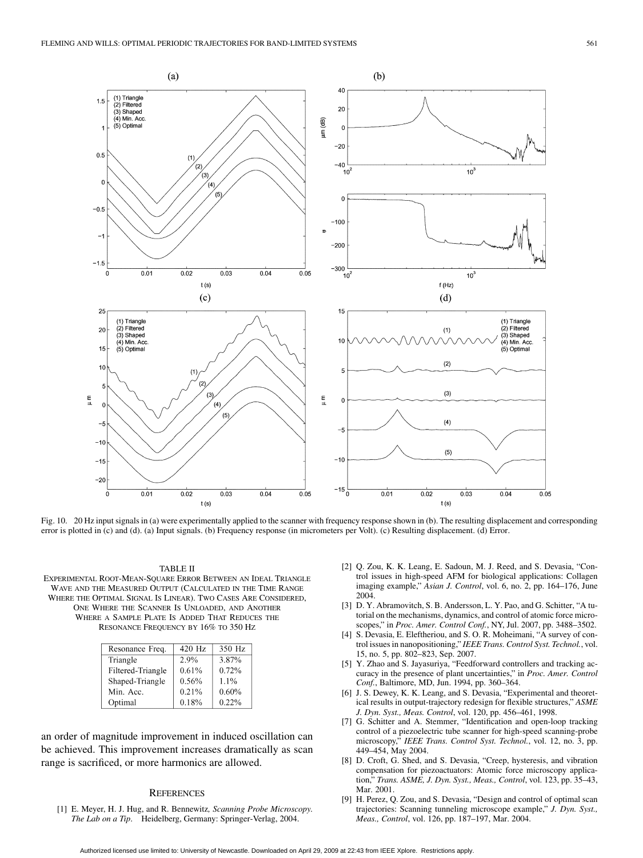

Fig. 10. 20 Hz input signals in (a) were experimentally applied to the scanner with frequency response shown in (b). The resulting displacement and corresponding error is plotted in (c) and (d). (a) Input signals. (b) Frequency response (in micrometers per Volt). (c) Resulting displacement. (d) Error.

#### TABLE II

EXPERIMENTAL ROOT-MEAN-SQUARE ERROR BETWEEN AN IDEAL TRIANGLE WAVE AND THE MEASURED OUTPUT (CALCULATED IN THE TIME RANGE WHERE THE OPTIMAL SIGNAL IS LINEAR). TWO CASES ARE CONSIDERED, ONE WHERE THE SCANNER IS UNLOADED, AND ANOTHER WHERE A SAMPLE PLATE IS ADDED THAT REDUCES THE RESONANCE FREQUENCY BY 16% TO 350 HZ

| Resonance Freq.   | 420 Hz | 350 Hz  |
|-------------------|--------|---------|
| Triangle          | 2.9%   | 3.87%   |
| Filtered-Triangle | 0.61%  | 0.72%   |
| Shaped-Triangle   | 0.56%  | $1.1\%$ |
| Min. Acc.         | 0.21%  | 0.60%   |
| Optimal           | 0.18%  | 0.22%   |

an order of magnitude improvement in induced oscillation can be achieved. This improvement increases dramatically as scan range is sacrificed, or more harmonics are allowed.

#### **REFERENCES**

[1] E. Meyer, H. J. Hug, and R. Bennewitz*, Scanning Probe Microscopy. The Lab on a Tip*. Heidelberg, Germany: Springer-Verlag, 2004.

- [2] Q. Zou, K. K. Leang, E. Sadoun, M. J. Reed, and S. Devasia, "Control issues in high-speed AFM for biological applications: Collagen imaging example," *Asian J. Control*, vol. 6, no. 2, pp. 164–176, June 2004.
- [3] D. Y. Abramovitch, S. B. Andersson, L. Y. Pao, and G. Schitter, "A tutorial on the mechanisms, dynamics, and control of atomic force microscopes," in *Proc. Amer. Control Conf.*, NY, Jul. 2007, pp. 3488–3502.
- [4] S. Devasia, E. Eleftheriou, and S. O. R. Moheimani, "A survey of control issues in nanopositioning," *IEEE Trans. Control Syst. Technol.*, vol. 15, no. 5, pp. 802–823, Sep. 2007.
- [5] Y. Zhao and S. Jayasuriya, "Feedforward controllers and tracking accuracy in the presence of plant uncertainties," in *Proc. Amer. Control Conf.*, Baltimore, MD, Jun. 1994, pp. 360–364.
- [6] J. S. Dewey, K. K. Leang, and S. Devasia, "Experimental and theoretical results in output-trajectory redesign for flexible structures," *ASME J. Dyn. Syst., Meas. Control*, vol. 120, pp. 456–461, 1998.
- [7] G. Schitter and A. Stemmer, "Identification and open-loop tracking control of a piezoelectric tube scanner for high-speed scanning-probe microscopy," *IEEE Trans. Control Syst. Technol.*, vol. 12, no. 3, pp. 449–454, May 2004.
- [8] D. Croft, G. Shed, and S. Devasia, "Creep, hysteresis, and vibration compensation for piezoactuators: Atomic force microscopy application," *Trans. ASME, J. Dyn. Syst., Meas., Control*, vol. 123, pp. 35–43, Mar. 2001.
- [9] H. Perez, Q. Zou, and S. Devasia, "Design and control of optimal scan trajectories: Scanning tunneling microscope example," *J. Dyn. Syst., Meas., Control*, vol. 126, pp. 187–197, Mar. 2004.